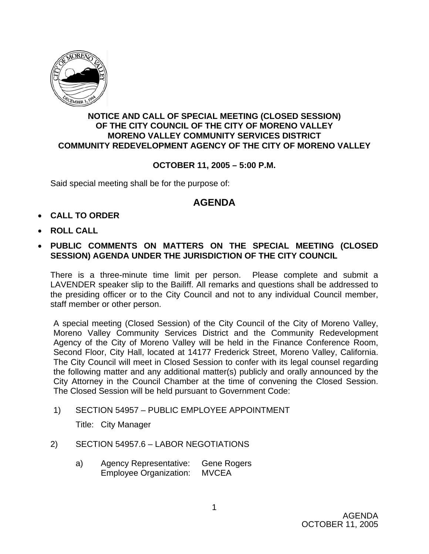

## **NOTICE AND CALL OF SPECIAL MEETING (CLOSED SESSION) OF THE CITY COUNCIL OF THE CITY OF MORENO VALLEY MORENO VALLEY COMMUNITY SERVICES DISTRICT COMMUNITY REDEVELOPMENT AGENCY OF THE CITY OF MORENO VALLEY**

## **OCTOBER 11, 2005 – 5:00 P.M.**

Said special meeting shall be for the purpose of:

## **AGENDA**

- **CALL TO ORDER**
- **ROLL CALL**
- **PUBLIC COMMENTS ON MATTERS ON THE SPECIAL MEETING (CLOSED SESSION) AGENDA UNDER THE JURISDICTION OF THE CITY COUNCIL**

There is a three-minute time limit per person. Please complete and submit a LAVENDER speaker slip to the Bailiff. All remarks and questions shall be addressed to the presiding officer or to the City Council and not to any individual Council member, staff member or other person.

A special meeting (Closed Session) of the City Council of the City of Moreno Valley, Moreno Valley Community Services District and the Community Redevelopment Agency of the City of Moreno Valley will be held in the Finance Conference Room, Second Floor, City Hall, located at 14177 Frederick Street, Moreno Valley, California. The City Council will meet in Closed Session to confer with its legal counsel regarding the following matter and any additional matter(s) publicly and orally announced by the City Attorney in the Council Chamber at the time of convening the Closed Session. The Closed Session will be held pursuant to Government Code:

1) SECTION 54957 – PUBLIC EMPLOYEE APPOINTMENT

Title: City Manager

- 2) SECTION 54957.6 LABOR NEGOTIATIONS
	- a) Agency Representative: Gene Rogers Employee Organization: MVCEA